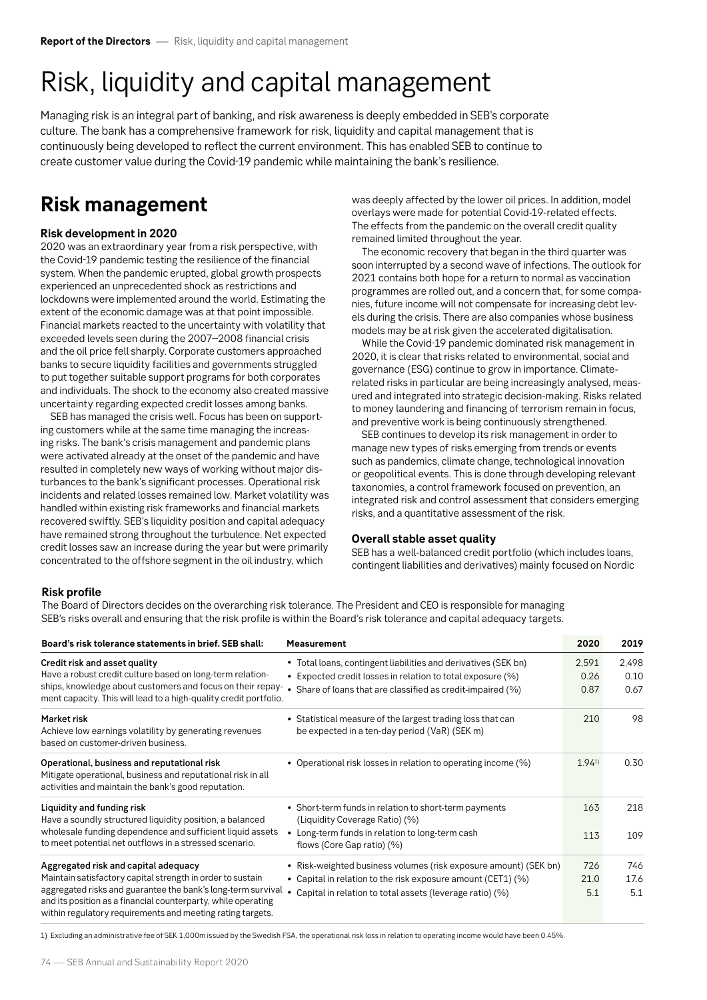# Risk, liquidity and capital management

Managing risk is an integral part of banking, and risk awareness is deeply embedded in SEB's corporate culture. The bank has a comprehensive framework for risk, liquidity and capital management that is continuously being developed to reflect the current environment. This has enabled SEB to continue to create customer value during the Covid-19 pandemic while maintaining the bank's resilience.

# **Risk management**

### **Risk development in 2020**

2020 was an extraordinary year from a risk perspective, with the Covid-19 pandemic testing the resilience of the financial system. When the pandemic erupted, global growth prospects experienced an unprecedented shock as restrictions and lockdowns were implemented around the world. Estimating the extent of the economic damage was at that point impossible. Financial markets reacted to the uncertainty with volatility that exceeded levels seen during the 2007–2008 financial crisis and the oil price fell sharply. Corporate customers approached banks to secure liquidity facilities and governments struggled to put together suitable support programs for both corporates and individuals. The shock to the economy also created massive uncertainty regarding expected credit losses among banks.

SEB has managed the crisis well. Focus has been on supporting customers while at the same time managing the increasing risks. The bank's crisis management and pandemic plans were activated already at the onset of the pandemic and have resulted in completely new ways of working without major disturbances to the bank's significant processes. Operational risk incidents and related losses remained low. Market volatility was handled within existing risk frameworks and financial markets recovered swiftly. SEB's liquidity position and capital adequacy have remained strong throughout the turbulence. Net expected credit losses saw an increase during the year but were primarily concentrated to the offshore segment in the oil industry, which

was deeply affected by the lower oil prices. In addition, model overlays were made for potential Covid-19-related effects. The effects from the pandemic on the overall credit quality remained limited throughout the year.

The economic recovery that began in the third quarter was soon interrupted by a second wave of infections. The outlook for 2021 contains both hope for a return to normal as vaccination programmes are rolled out, and a concern that, for some companies, future income will not compensate for increasing debt levels during the crisis. There are also companies whose business models may be at risk given the accelerated digitalisation.

While the Covid-19 pandemic dominated risk management in 2020, it is clear that risks related to environmental, social and governance (ESG) continue to grow in importance. Climaterelated risks in particular are being increasingly analysed, measured and integrated into strategic decision-making. Risks related to money laundering and financing of terrorism remain in focus, and preventive work is being continuously strengthened.

SEB continues to develop its risk management in order to manage new types of risks emerging from trends or events such as pandemics, climate change, technological innovation or geopolitical events. This is done through developing relevant taxonomies, a control framework focused on prevention, an integrated risk and control assessment that considers emerging risks, and a quantitative assessment of the risk.

#### **Overall stable asset quality**

SEB has a well-balanced credit portfolio (which includes loans, contingent liabilities and derivatives) mainly focused on Nordic

## **Risk profile**

The Board of Directors decides on the overarching risk tolerance. The President and CEO is responsible for managing SEB's risks overall and ensuring that the risk profile is within the Board's risk tolerance and capital adequacy targets.

| Board's risk tolerance statements in brief. SEB shall:                                                                                                                                                                                                                                            | <b>Measurement</b>                                                                                          | 2020       | 2019  |
|---------------------------------------------------------------------------------------------------------------------------------------------------------------------------------------------------------------------------------------------------------------------------------------------------|-------------------------------------------------------------------------------------------------------------|------------|-------|
| Credit risk and asset quality<br>Have a robust credit culture based on long-term relation-<br>ships, knowledge about customers and focus on their repay-<br>ment capacity. This will lead to a high-quality credit portfolio.                                                                     | • Total loans, contingent liabilities and derivatives (SEK bn)                                              | 2,591      | 2,498 |
|                                                                                                                                                                                                                                                                                                   | • Expected credit losses in relation to total exposure (%)                                                  | 0.26       | 0.10  |
|                                                                                                                                                                                                                                                                                                   | • Share of loans that are classified as credit-impaired (%)                                                 | 0.87       | 0.67  |
| Market risk<br>Achieve low earnings volatility by generating revenues<br>based on customer-driven business.                                                                                                                                                                                       | • Statistical measure of the largest trading loss that can<br>be expected in a ten-day period (VaR) (SEK m) | 210        | 98    |
| Operational, business and reputational risk<br>Mitigate operational, business and reputational risk in all<br>activities and maintain the bank's good reputation.                                                                                                                                 | • Operational risk losses in relation to operating income (%)                                               | $1.94^{1}$ | 0.30  |
| Liquidity and funding risk<br>Have a soundly structured liquidity position, a balanced<br>wholesale funding dependence and sufficient liquid assets<br>to meet potential net outflows in a stressed scenario.                                                                                     | • Short-term funds in relation to short-term payments<br>(Liquidity Coverage Ratio) (%)                     | 163        | 218   |
|                                                                                                                                                                                                                                                                                                   | Long-term funds in relation to long-term cash<br>flows (Core Gap ratio) (%)                                 | 113        | 109   |
| Aggregated risk and capital adequacy<br>Maintain satisfactory capital strength in order to sustain<br>aggregated risks and guarantee the bank's long-term survival<br>and its position as a financial counterparty, while operating<br>within regulatory requirements and meeting rating targets. | • Risk-weighted business volumes (risk exposure amount) (SEK bn)                                            | 726        | 746   |
|                                                                                                                                                                                                                                                                                                   | • Capital in relation to the risk exposure amount (CET1) (%)                                                | 21.0       | 17.6  |
|                                                                                                                                                                                                                                                                                                   | • Capital in relation to total assets (leverage ratio) (%)                                                  | 5.1        | 5.1   |

1) Excluding an administrative fee of SEK 1,000m issued by the Swedish FSA, the operational risk loss in relation to operating income would have been 0.45%.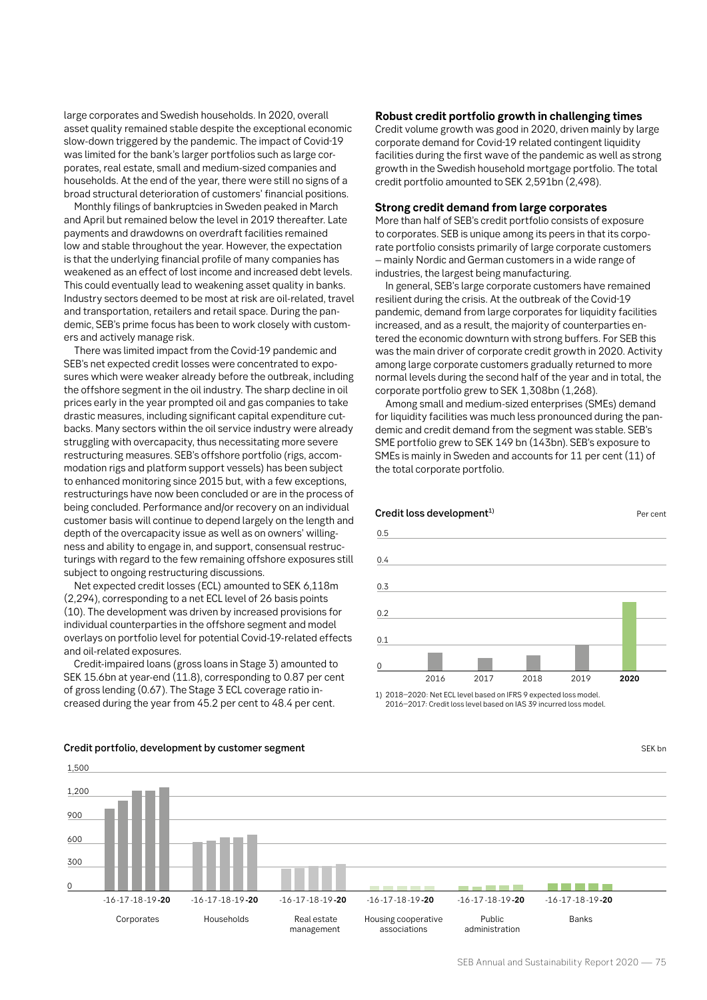large corporates and Swedish households. In 2020, overall asset quality remained stable despite the exceptional economic slow-down triggered by the pandemic. The impact of Covid-19 was limited for the bank's larger portfolios such as large corporates, real estate, small and medium-sized companies and households. At the end of the year, there were still no signs of a broad structural deterioration of customers' financial positions.

Monthly filings of bankruptcies in Sweden peaked in March and April but remained below the level in 2019 thereafter. Late payments and drawdowns on overdraft facilities remained low and stable throughout the year. However, the expectation is that the underlying financial profile of many companies has weakened as an effect of lost income and increased debt levels. This could eventually lead to weakening asset quality in banks. Industry sectors deemed to be most at risk are oil-related, travel and transportation, retailers and retail space. During the pandemic, SEB's prime focus has been to work closely with customers and actively manage risk.

There was limited impact from the Covid-19 pandemic and SEB's net expected credit losses were concentrated to exposures which were weaker already before the outbreak, including the offshore segment in the oil industry. The sharp decline in oil prices early in the year prompted oil and gas companies to take drastic measures, including significant capital expenditure cutbacks. Many sectors within the oil service industry were already struggling with overcapacity, thus necessitating more severe restructuring measures. SEB's offshore portfolio (rigs, accommodation rigs and platform support vessels) has been subject to enhanced monitoring since 2015 but, with a few exceptions, restructurings have now been concluded or are in the process of being concluded. Performance and/or recovery on an individual customer basis will continue to depend largely on the length and depth of the overcapacity issue as well as on owners' willingness and ability to engage in, and support, consensual restructurings with regard to the few remaining offshore exposures still subject to ongoing restructuring discussions.

Net expected credit losses (ECL) amounted to SEK 6,118m (2,294), corresponding to a net ECL level of 26 basis points (10). The development was driven by increased provisions for individual counterparties in the offshore segment and model overlays on portfolio level for potential Covid-19-related effects and oil-related exposures.

Credit-impaired loans (gross loans in Stage 3) amounted to SEK 15.6bn at year-end (11.8), corresponding to 0.87 per cent of gross lending (0.67). The Stage 3 ECL coverage ratio increased during the year from 45.2 per cent to 48.4 per cent.

#### **Robust credit portfolio growth in challenging times**

Credit volume growth was good in 2020, driven mainly by large corporate demand for Covid-19 related contingent liquidity facilities during the first wave of the pandemic as well as strong growth in the Swedish household mortgage portfolio. The total credit portfolio amounted to SEK 2,591bn (2,498).

#### **Strong credit demand from large corporates**

More than half of SEB's credit portfolio consists of exposure to corporates. SEB is unique among its peers in that its corporate portfolio consists primarily of large corporate customers – mainly Nordic and German customers in a wide range of industries, the largest being manufacturing.

In general, SEB's large corporate customers have remained resilient during the crisis. At the outbreak of the Covid-19 pandemic, demand from large corporates for liquidity facilities increased, and as a result, the majority of counterparties entered the economic downturn with strong buffers. For SEB this was the main driver of corporate credit growth in 2020. Activity among large corporate customers gradually returned to more normal levels during the second half of the year and in total, the corporate portfolio grew to SEK 1,308bn (1,268).

Among small and medium-sized enterprises (SMEs) demand for liquidity facilities was much less pronounced during the pandemic and credit demand from the segment was stable. SEB's SME portfolio grew to SEK 149 bn (143bn). SEB's exposure to SMEs is mainly in Sweden and accounts for 11 per cent (11) of the total corporate portfolio.

Credit loss development<sup>1)</sup> Per cent



1) 2018–2020: Net ECL level based on IFRS 9 expected loss model. 2016–2017: Credit loss level based on IAS 39 incurred loss model.



#### **Credit portfolio, development by customer segment SEK bn** SEK bn SEK bn SEK bn SEK bn SEK bn SEK bn SEK bn SEK bn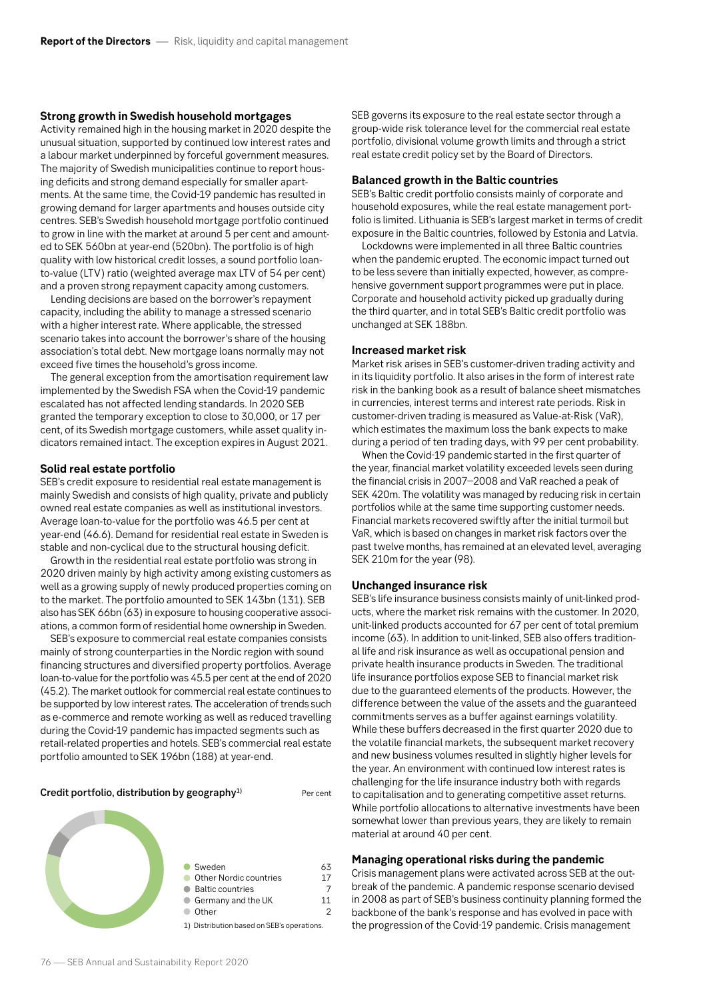#### **Strong growth in Swedish household mortgages**

Activity remained high in the housing market in 2020 despite the unusual situation, supported by continued low interest rates and a labour market underpinned by forceful government measures. The majority of Swedish municipalities continue to report housing deficits and strong demand especially for smaller apartments. At the same time, the Covid-19 pandemic has resulted in growing demand for larger apartments and houses outside city centres. SEB's Swedish household mortgage portfolio continued to grow in line with the market at around 5 per cent and amounted to SEK 560bn at year-end (520bn). The portfolio is of high quality with low historical credit losses, a sound portfolio loanto-value (LTV) ratio (weighted average max LTV of 54 per cent) and a proven strong repayment capacity among customers.

Lending decisions are based on the borrower's repayment capacity, including the ability to manage a stressed scenario with a higher interest rate. Where applicable, the stressed scenario takes into account the borrower's share of the housing association's total debt. New mortgage loans normally may not exceed five times the household's gross income.

The general exception from the amortisation requirement law implemented by the Swedish FSA when the Covid-19 pandemic escalated has not affected lending standards. In 2020 SEB granted the temporary exception to close to 30,000, or 17 per cent, of its Swedish mortgage customers, while asset quality indicators remained intact. The exception expires in August 2021.

#### **Solid real estate portfolio**

SEB's credit exposure to residential real estate management is mainly Swedish and consists of high quality, private and publicly owned real estate companies as well as institutional investors. Average loan-to-value for the portfolio was 46.5 per cent at year-end (46.6). Demand for residential real estate in Sweden is stable and non-cyclical due to the structural housing deficit.

Growth in the residential real estate portfolio was strong in 2020 driven mainly by high activity among existing customers as well as a growing supply of newly produced properties coming on to the market. The portfolio amounted to SEK 143bn (131). SEB also has SEK 66bn (63) in exposure to housing cooperative associations, a common form of residential home ownership in Sweden.

SEB's exposure to commercial real estate companies consists mainly of strong counterparties in the Nordic region with sound financing structures and diversified property portfolios. Average loan-to-value for the portfolio was 45.5 per cent at the end of 2020 (45.2). The market outlook for commercial real estate continues to be supported by low interest rates. The acceleration of trends such as e-commerce and remote working as well as reduced travelling during the Covid-19 pandemic has impacted segments such as retail-related properties and hotels. SEB's commercial real estate portfolio amounted to SEK 196bn (188) at year-end.

**Credit portfolio, distribution by geography**<sup>1)</sup> Per cent



SEB governs its exposure to the real estate sector through a group-wide risk tolerance level for the commercial real estate portfolio, divisional volume growth limits and through a strict real estate credit policy set by the Board of Directors.

#### **Balanced growth in the Baltic countries**

SEB's Baltic credit portfolio consists mainly of corporate and household exposures, while the real estate management portfolio is limited. Lithuania is SEB's largest market in terms of credit exposure in the Baltic countries, followed by Estonia and Latvia.

Lockdowns were implemented in all three Baltic countries when the pandemic erupted. The economic impact turned out to be less severe than initially expected, however, as comprehensive government support programmes were put in place. Corporate and household activity picked up gradually during the third quarter, and in total SEB's Baltic credit portfolio was unchanged at SEK 188bn.

#### **Increased market risk**

Market risk arises in SEB's customer-driven trading activity and in its liquidity portfolio. It also arises in the form of interest rate risk in the banking book as a result of balance sheet mismatches in currencies, interest terms and interest rate periods. Risk in customer-driven trading is measured as Value-at-Risk (VaR), which estimates the maximum loss the bank expects to make during a period of ten trading days, with 99 per cent probability.

When the Covid-19 pandemic started in the first quarter of the year, financial market volatility exceeded levels seen during the financial crisis in 2007–2008 and VaR reached a peak of SEK 420m. The volatility was managed by reducing risk in certain portfolios while at the same time supporting customer needs. Financial markets recovered swiftly after the initial turmoil but VaR, which is based on changes in market risk factors over the past twelve months, has remained at an elevated level, averaging SEK 210m for the year (98).

#### **Unchanged insurance risk**

SEB's life insurance business consists mainly of unit-linked products, where the market risk remains with the customer. In 2020, unit-linked products accounted for 67 per cent of total premium income (63). In addition to unit-linked, SEB also offers traditional life and risk insurance as well as occupational pension and private health insurance products in Sweden. The traditional life insurance portfolios expose SEB to financial market risk due to the guaranteed elements of the products. However, the difference between the value of the assets and the guaranteed commitments serves as a buffer against earnings volatility. While these buffers decreased in the first quarter 2020 due to the volatile financial markets, the subsequent market recovery and new business volumes resulted in slightly higher levels for the year. An environment with continued low interest rates is challenging for the life insurance industry both with regards to capitalisation and to generating competitive asset returns. While portfolio allocations to alternative investments have been somewhat lower than previous years, they are likely to remain material at around 40 per cent.

#### **Managing operational risks during the pandemic**

Crisis management plans were activated across SEB at the outbreak of the pandemic. A pandemic response scenario devised in 2008 as part of SEB's business continuity planning formed the backbone of the bank's response and has evolved in pace with the progression of the Covid-19 pandemic. Crisis management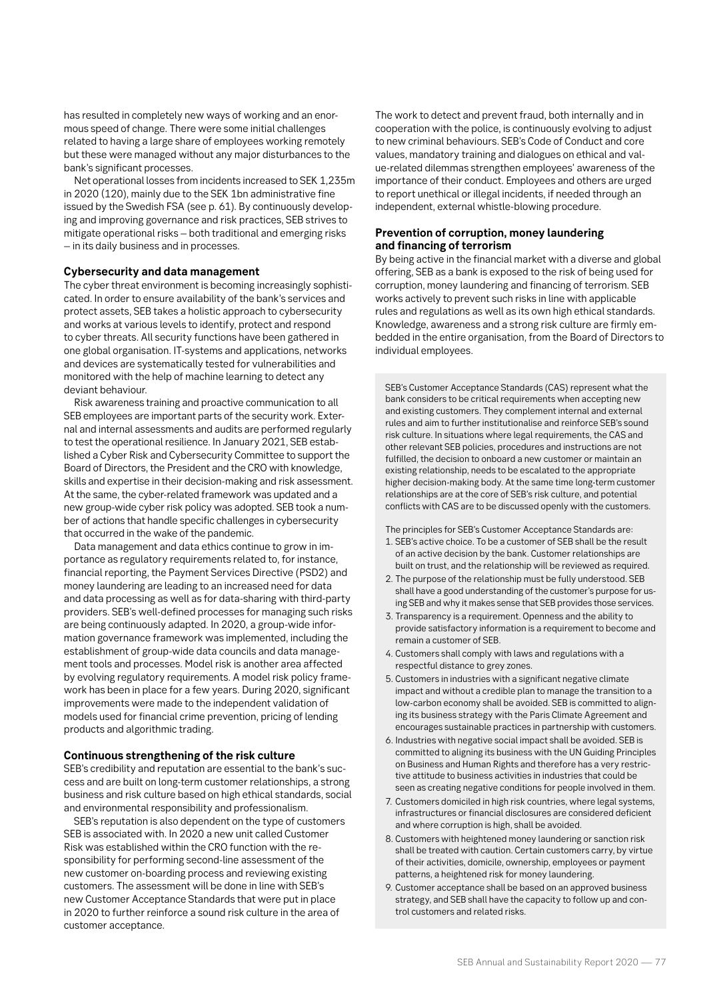has resulted in completely new ways of working and an enormous speed of change. There were some initial challenges related to having a large share of employees working remotely but these were managed without any major disturbances to the bank's significant processes.

Net operational losses from incidents increased to SEK 1,235m in 2020 (120), mainly due to the SEK 1bn administrative fine issued by the Swedish FSA (see p. 61). By continuously developing and improving governance and risk practices, SEB strives to mitigate operational risks – both traditional and emerging risks – in its daily business and in processes.

#### **Cybersecurity and data management**

The cyber threat environment is becoming increasingly sophisticated. In order to ensure availability of the bank's services and protect assets, SEB takes a holistic approach to cybersecurity and works at various levels to identify, protect and respond to cyber threats. All security functions have been gathered in one global organisation. IT-systems and applications, networks and devices are systematically tested for vulnerabilities and monitored with the help of machine learning to detect any deviant behaviour.

Risk awareness training and proactive communication to all SEB employees are important parts of the security work. External and internal assessments and audits are performed regularly to test the operational resilience. In January 2021, SEB established a Cyber Risk and Cybersecurity Committee to support the Board of Directors, the President and the CRO with knowledge, skills and expertise in their decision-making and risk assessment. At the same, the cyber-related framework was updated and a new group-wide cyber risk policy was adopted. SEB took a number of actions that handle specific challenges in cybersecurity that occurred in the wake of the pandemic.

Data management and data ethics continue to grow in importance as regulatory requirements related to, for instance, financial reporting, the Payment Services Directive (PSD2) and money laundering are leading to an increased need for data and data processing as well as for data-sharing with third-party providers. SEB's well-defined processes for managing such risks are being continuously adapted. In 2020, a group-wide information governance framework was implemented, including the establishment of group-wide data councils and data management tools and processes. Model risk is another area affected by evolving regulatory requirements. A model risk policy framework has been in place for a few years. During 2020, significant improvements were made to the independent validation of models used for financial crime prevention, pricing of lending products and algorithmic trading.

#### **Continuous strengthening of the risk culture**

SEB's credibility and reputation are essential to the bank's success and are built on long-term customer relationships, a strong business and risk culture based on high ethical standards, social and environmental responsibility and professionalism.

SEB's reputation is also dependent on the type of customers SEB is associated with. In 2020 a new unit called Customer Risk was established within the CRO function with the responsibility for performing second-line assessment of the new customer on-boarding process and reviewing existing customers. The assessment will be done in line with SEB's new Customer Acceptance Standards that were put in place in 2020 to further reinforce a sound risk culture in the area of customer acceptance.

The work to detect and prevent fraud, both internally and in cooperation with the police, is continuously evolving to adjust to new criminal behaviours. SEB's Code of Conduct and core values, mandatory training and dialogues on ethical and value-related dilemmas strengthen employees' awareness of the importance of their conduct. Employees and others are urged to report unethical or illegal incidents, if needed through an independent, external whistle-blowing procedure.

#### **Prevention of corruption, money laundering and financing of terrorism**

By being active in the financial market with a diverse and global offering, SEB as a bank is exposed to the risk of being used for corruption, money laundering and financing of terrorism. SEB works actively to prevent such risks in line with applicable rules and regulations as well as its own high ethical standards. Knowledge, awareness and a strong risk culture are firmly embedded in the entire organisation, from the Board of Directors to individual employees.

SEB's Customer Acceptance Standards (CAS) represent what the bank considers to be critical requirements when accepting new and existing customers. They complement internal and external rules and aim to further institutionalise and reinforce SEB's sound risk culture. In situations where legal requirements, the CAS and other relevant SEB policies, procedures and instructions are not fulfilled, the decision to onboard a new customer or maintain an existing relationship, needs to be escalated to the appropriate higher decision-making body. At the same time long-term customer relationships are at the core of SEB's risk culture, and potential conflicts with CAS are to be discussed openly with the customers.

The principles for SEB's Customer Acceptance Standards are:

- 1. SEB's active choice. To be a customer of SEB shall be the result of an active decision by the bank. Customer relationships are built on trust, and the relationship will be reviewed as required.
- 2. The purpose of the relationship must be fully understood. SEB shall have a good understanding of the customer's purpose for using SEB and why it makes sense that SEB provides those services.
- 3. Transparency is a requirement. Openness and the ability to provide satisfactory information is a requirement to become and remain a customer of SEB.
- 4. Customers shall comply with laws and regulations with a respectful distance to grey zones.
- 5. Customers in industries with a significant negative climate impact and without a credible plan to manage the transition to a low-carbon economy shall be avoided. SEB is committed to aligning its business strategy with the Paris Climate Agreement and encourages sustainable practices in partnership with customers.
- 6. Industries with negative social impact shall be avoided. SEB is committed to aligning its business with the UN Guiding Principles on Business and Human Rights and therefore has a very restrictive attitude to business activities in industries that could be seen as creating negative conditions for people involved in them.
- 7. Customers domiciled in high risk countries, where legal systems, infrastructures or financial disclosures are considered deficient and where corruption is high, shall be avoided.
- 8. Customers with heightened money laundering or sanction risk shall be treated with caution. Certain customers carry, by virtue of their activities, domicile, ownership, employees or payment patterns, a heightened risk for money laundering.
- 9. Customer acceptance shall be based on an approved business strategy, and SEB shall have the capacity to follow up and control customers and related risks.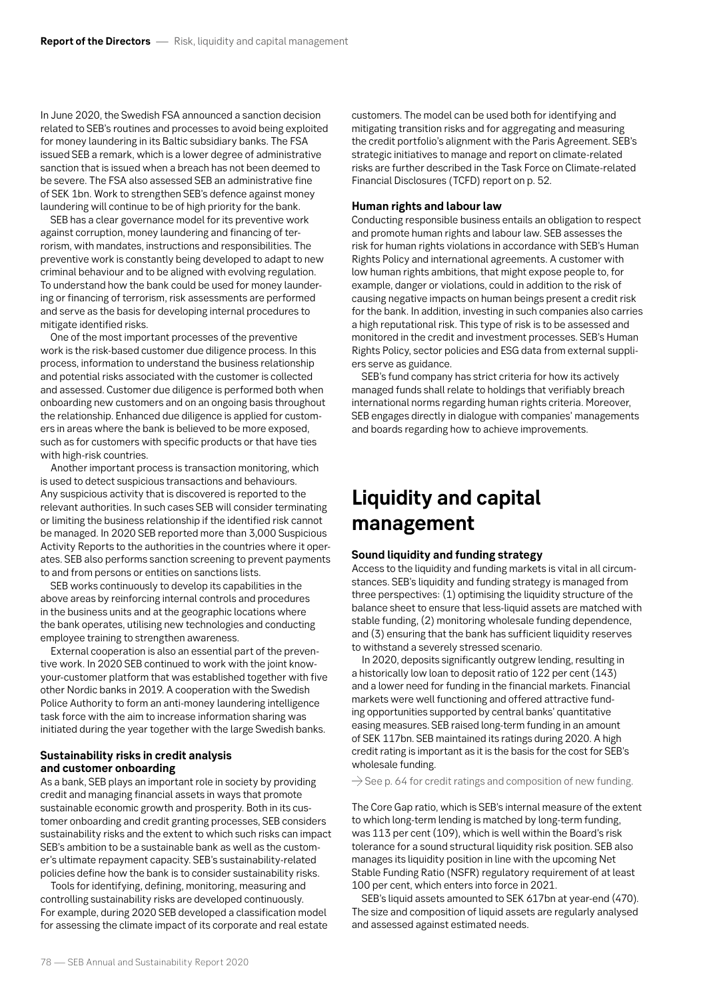In June 2020, the Swedish FSA announced a sanction decision related to SEB's routines and processes to avoid being exploited for money laundering in its Baltic subsidiary banks. The FSA issued SEB a remark, which is a lower degree of administrative sanction that is issued when a breach has not been deemed to be severe. The FSA also assessed SEB an administrative fine of SEK 1bn. Work to strengthen SEB's defence against money laundering will continue to be of high priority for the bank.

SEB has a clear governance model for its preventive work against corruption, money laundering and financing of terrorism, with mandates, instructions and responsibilities. The preventive work is constantly being developed to adapt to new criminal behaviour and to be aligned with evolving regulation. To understand how the bank could be used for money laundering or financing of terrorism, risk assessments are performed and serve as the basis for developing internal procedures to mitigate identified risks.

One of the most important processes of the preventive work is the risk-based customer due diligence process. In this process, information to understand the business relationship and potential risks associated with the customer is collected and assessed. Customer due diligence is performed both when onboarding new customers and on an ongoing basis throughout the relationship. Enhanced due diligence is applied for customers in areas where the bank is believed to be more exposed, such as for customers with specific products or that have ties with high-risk countries.

Another important process is transaction monitoring, which is used to detect suspicious transactions and behaviours. Any suspicious activity that is discovered is reported to the relevant authorities. In such cases SEB will consider terminating or limiting the business relationship if the identified risk cannot be managed. In 2020 SEB reported more than 3,000 Suspicious Activity Reports to the authorities in the countries where it operates. SEB also performs sanction screening to prevent payments to and from persons or entities on sanctions lists.

SEB works continuously to develop its capabilities in the above areas by reinforcing internal controls and procedures in the business units and at the geographic locations where the bank operates, utilising new technologies and conducting employee training to strengthen awareness.

External cooperation is also an essential part of the preventive work. In 2020 SEB continued to work with the joint knowyour-customer platform that was established together with five other Nordic banks in 2019. A cooperation with the Swedish Police Authority to form an anti-money laundering intelligence task force with the aim to increase information sharing was initiated during the year together with the large Swedish banks.

### **Sustainability risks in credit analysis and customer onboarding**

As a bank, SEB plays an important role in society by providing credit and managing financial assets in ways that promote sustainable economic growth and prosperity. Both in its customer onboarding and credit granting processes, SEB considers sustainability risks and the extent to which such risks can impact SEB's ambition to be a sustainable bank as well as the customer's ultimate repayment capacity. SEB's sustainability-related policies define how the bank is to consider sustainability risks.

Tools for identifying, defining, monitoring, measuring and controlling sustainability risks are developed continuously. For example, during 2020 SEB developed a classification model for assessing the climate impact of its corporate and real estate customers. The model can be used both for identifying and mitigating transition risks and for aggregating and measuring the credit portfolio's alignment with the Paris Agreement. SEB's strategic initiatives to manage and report on climate-related risks are further described in the Task Force on Climate-related Financial Disclosures (TCFD) report on p. 52.

#### **Human rights and labour law**

Conducting responsible business entails an obligation to respect and promote human rights and labour law. SEB assesses the risk for human rights violations in accordance with SEB's Human Rights Policy and international agreements. A customer with low human rights ambitions, that might expose people to, for example, danger or violations, could in addition to the risk of causing negative impacts on human beings present a credit risk for the bank. In addition, investing in such companies also carries a high reputational risk. This type of risk is to be assessed and monitored in the credit and investment processes. SEB's Human Rights Policy, sector policies and ESG data from external suppliers serve as guidance.

SEB's fund company has strict criteria for how its actively managed funds shall relate to holdings that verifiably breach international norms regarding human rights criteria. Moreover, SEB engages directly in dialogue with companies' managements and boards regarding how to achieve improvements.

# **Liquidity and capital management**

#### **Sound liquidity and funding strategy**

Access to the liquidity and funding markets is vital in all circumstances. SEB's liquidity and funding strategy is managed from three perspectives: (1) optimising the liquidity structure of the balance sheet to ensure that less-liquid assets are matched with stable funding, (2) monitoring wholesale funding dependence, and (3) ensuring that the bank has sufficient liquidity reserves to withstand a severely stressed scenario.

In 2020, deposits significantly outgrew lending, resulting in a historically low loan to deposit ratio of 122 per cent (143) and a lower need for funding in the financial markets. Financial markets were well functioning and offered attractive funding opportunities supported by central banks' quantitative easing measures. SEB raised long-term funding in an amount of SEK 117bn. SEB maintained its ratings during 2020. A high credit rating is important as it is the basis for the cost for SEB's wholesale funding.

 $\rightarrow$  See p. 64 for credit ratings and composition of new funding.

The Core Gap ratio, which is SEB's internal measure of the extent to which long-term lending is matched by long-term funding, was 113 per cent (109), which is well within the Board's risk tolerance for a sound structural liquidity risk position. SEB also manages its liquidity position in line with the upcoming Net Stable Funding Ratio (NSFR) regulatory requirement of at least 100 per cent, which enters into force in 2021.

SEB's liquid assets amounted to SEK 617bn at year-end (470). The size and composition of liquid assets are regularly analysed and assessed against estimated needs.